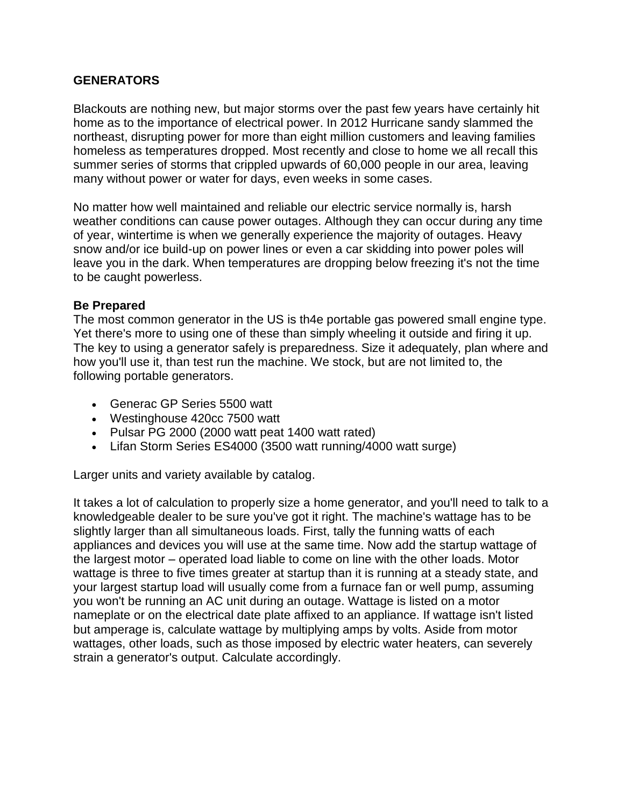## **GENERATORS**

Blackouts are nothing new, but major storms over the past few years have certainly hit home as to the importance of electrical power. In 2012 Hurricane sandy slammed the northeast, disrupting power for more than eight million customers and leaving families homeless as temperatures dropped. Most recently and close to home we all recall this summer series of storms that crippled upwards of 60,000 people in our area, leaving many without power or water for days, even weeks in some cases.

No matter how well maintained and reliable our electric service normally is, harsh weather conditions can cause power outages. Although they can occur during any time of year, wintertime is when we generally experience the majority of outages. Heavy snow and/or ice build-up on power lines or even a car skidding into power poles will leave you in the dark. When temperatures are dropping below freezing it's not the time to be caught powerless.

## **Be Prepared**

The most common generator in the US is th4e portable gas powered small engine type. Yet there's more to using one of these than simply wheeling it outside and firing it up. The key to using a generator safely is preparedness. Size it adequately, plan where and how you'll use it, than test run the machine. We stock, but are not limited to, the following portable generators.

- Generac GP Series 5500 watt
- Westinghouse 420cc 7500 watt
- Pulsar PG 2000 (2000 watt peat 1400 watt rated)
- Lifan Storm Series ES4000 (3500 watt running/4000 watt surge)

Larger units and variety available by catalog.

It takes a lot of calculation to properly size a home generator, and you'll need to talk to a knowledgeable dealer to be sure you've got it right. The machine's wattage has to be slightly larger than all simultaneous loads. First, tally the funning watts of each appliances and devices you will use at the same time. Now add the startup wattage of the largest motor – operated load liable to come on line with the other loads. Motor wattage is three to five times greater at startup than it is running at a steady state, and your largest startup load will usually come from a furnace fan or well pump, assuming you won't be running an AC unit during an outage. Wattage is listed on a motor nameplate or on the electrical date plate affixed to an appliance. If wattage isn't listed but amperage is, calculate wattage by multiplying amps by volts. Aside from motor wattages, other loads, such as those imposed by electric water heaters, can severely strain a generator's output. Calculate accordingly.